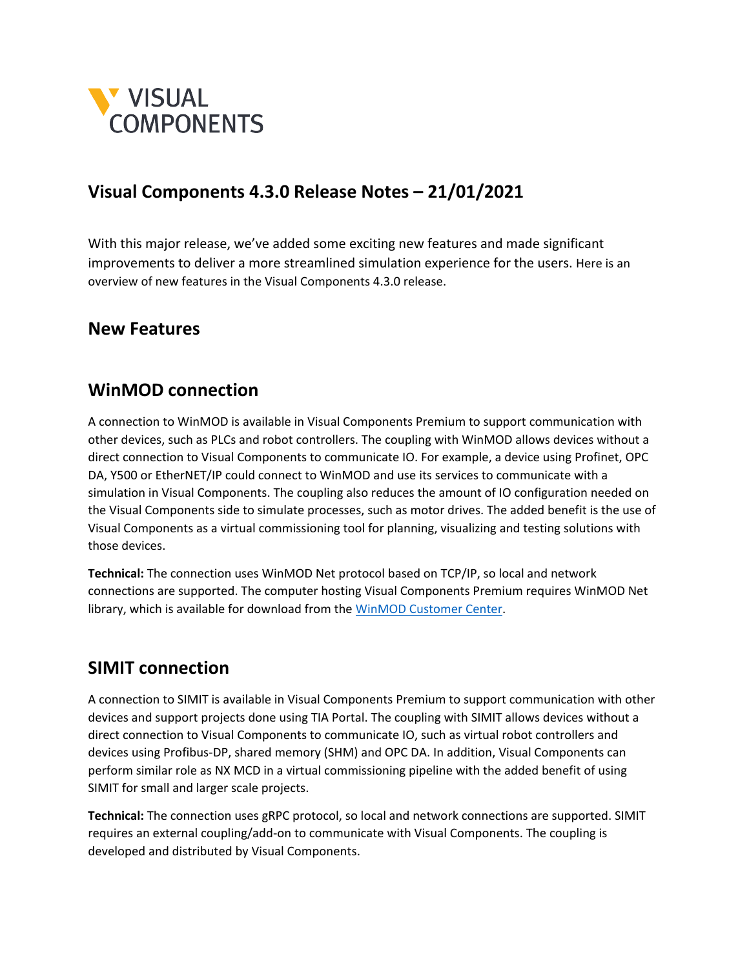

### **Visual Components 4.3.0 Release Notes – 21/01/2021**

With this major release, we've added some exciting new features and made significant improvements to deliver a more streamlined simulation experience for the users. Here is an overview of new features in the Visual Components 4.3.0 release.

#### **New Features**

#### **WinMOD connection**

A connection to WinMOD is available in Visual Components Premium to support communication with other devices, such as PLCs and robot controllers. The coupling with WinMOD allows devices without a direct connection to Visual Components to communicate IO. For example, a device using Profinet, OPC DA, Y500 or EtherNET/IP could connect to WinMOD and use its services to communicate with a simulation in Visual Components. The coupling also reduces the amount of IO configuration needed on the Visual Components side to simulate processes, such as motor drives. The added benefit is the use of Visual Components as a virtual commissioning tool for planning, visualizing and testing solutions with those devices.

**Technical:** The connection uses WinMOD Net protocol based on TCP/IP, so local and network connections are supported. The computer hosting Visual Components Premium requires WinMOD Net library, which is available for download from th[e WinMOD Customer Center.](https://www.winmod.de/english/customer-center/)

#### **SIMIT connection**

A connection to SIMIT is available in Visual Components Premium to support communication with other devices and support projects done using TIA Portal. The coupling with SIMIT allows devices without a direct connection to Visual Components to communicate IO, such as virtual robot controllers and devices using Profibus-DP, shared memory (SHM) and OPC DA. In addition, Visual Components can perform similar role as NX MCD in a virtual commissioning pipeline with the added benefit of using SIMIT for small and larger scale projects.

**Technical:** The connection uses gRPC protocol, so local and network connections are supported. SIMIT requires an external coupling/add-on to communicate with Visual Components. The coupling is developed and distributed by Visual Components.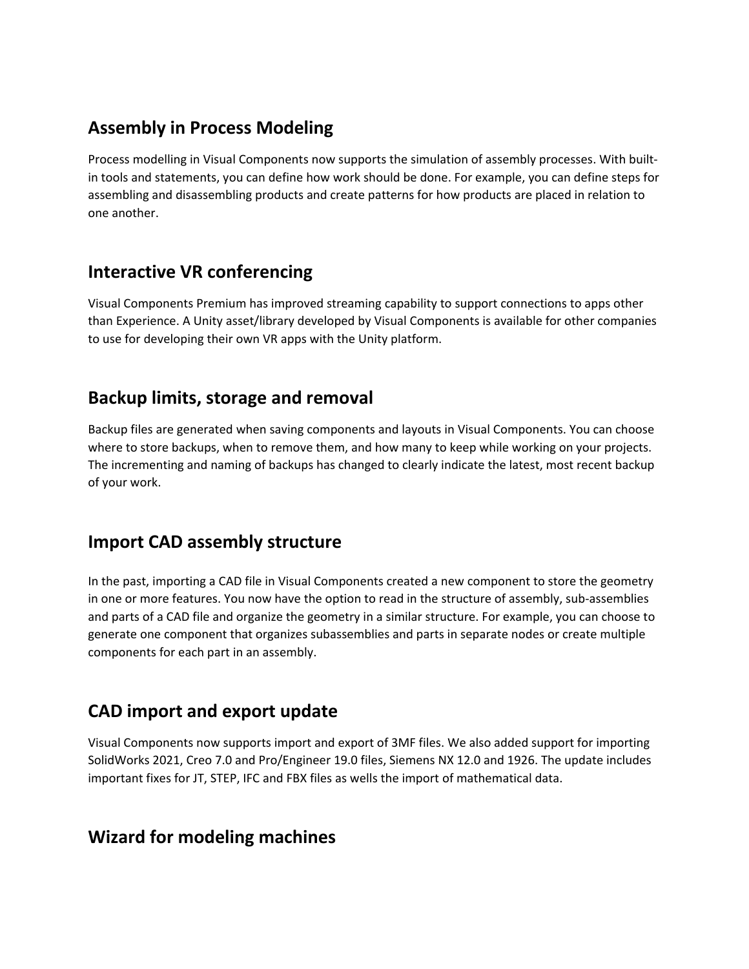## **Assembly in Process Modeling**

Process modelling in Visual Components now supports the simulation of assembly processes. With builtin tools and statements, you can define how work should be done. For example, you can define steps for assembling and disassembling products and create patterns for how products are placed in relation to one another.

## **Interactive VR conferencing**

Visual Components Premium has improved streaming capability to support connections to apps other than Experience. A Unity asset/library developed by Visual Components is available for other companies to use for developing their own VR apps with the Unity platform.

## **Backup limits, storage and removal**

Backup files are generated when saving components and layouts in Visual Components. You can choose where to store backups, when to remove them, and how many to keep while working on your projects. The incrementing and naming of backups has changed to clearly indicate the latest, most recent backup of your work.

### **Import CAD assembly structure**

In the past, importing a CAD file in Visual Components created a new component to store the geometry in one or more features. You now have the option to read in the structure of assembly, sub-assemblies and parts of a CAD file and organize the geometry in a similar structure. For example, you can choose to generate one component that organizes subassemblies and parts in separate nodes or create multiple components for each part in an assembly.

# **CAD import and export update**

Visual Components now supports import and export of 3MF files. We also added support for importing SolidWorks 2021, Creo 7.0 and Pro/Engineer 19.0 files, Siemens NX 12.0 and 1926. The update includes important fixes for JT, STEP, IFC and FBX files as wells the import of mathematical data.

### **Wizard for modeling machines**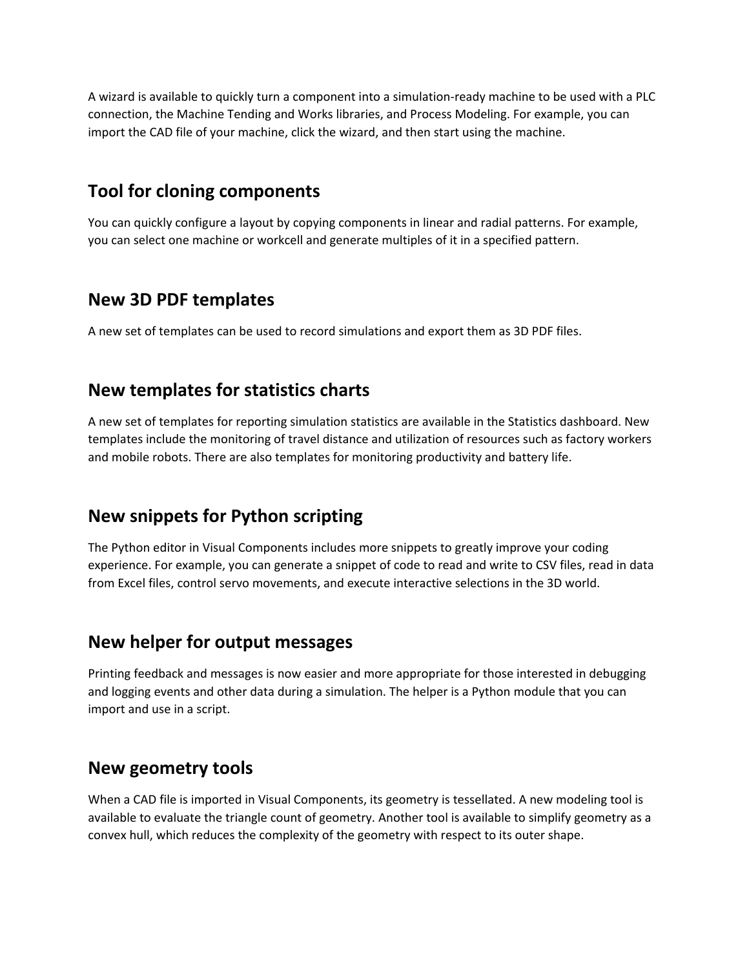A wizard is available to quickly turn a component into a simulation-ready machine to be used with a PLC connection, the Machine Tending and Works libraries, and Process Modeling. For example, you can import the CAD file of your machine, click the wizard, and then start using the machine.

#### **Tool for cloning components**

You can quickly configure a layout by copying components in linear and radial patterns. For example, you can select one machine or workcell and generate multiples of it in a specified pattern.

#### **New 3D PDF templates**

A new set of templates can be used to record simulations and export them as 3D PDF files.

#### **New templates for statistics charts**

A new set of templates for reporting simulation statistics are available in the Statistics dashboard. New templates include the monitoring of travel distance and utilization of resources such as factory workers and mobile robots. There are also templates for monitoring productivity and battery life.

# **New snippets for Python scripting**

The Python editor in Visual Components includes more snippets to greatly improve your coding experience. For example, you can generate a snippet of code to read and write to CSV files, read in data from Excel files, control servo movements, and execute interactive selections in the 3D world.

### **New helper for output messages**

Printing feedback and messages is now easier and more appropriate for those interested in debugging and logging events and other data during a simulation. The helper is a Python module that you can import and use in a script.

### **New geometry tools**

When a CAD file is imported in Visual Components, its geometry is tessellated. A new modeling tool is available to evaluate the triangle count of geometry. Another tool is available to simplify geometry as a convex hull, which reduces the complexity of the geometry with respect to its outer shape.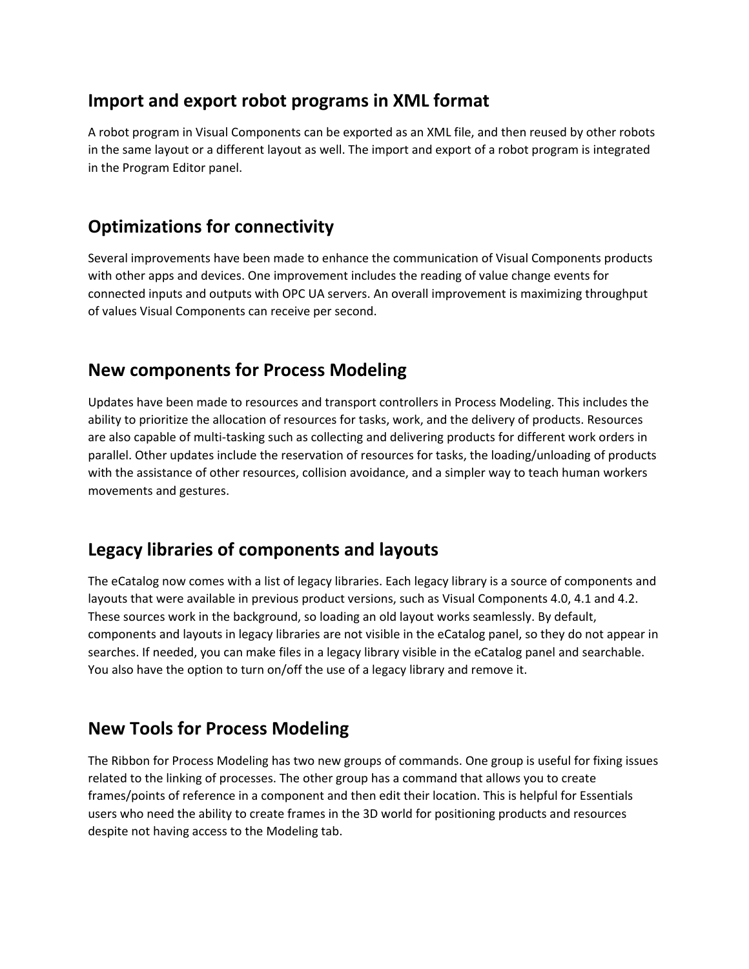## **Import and export robot programs in XML format**

A robot program in Visual Components can be exported as an XML file, and then reused by other robots in the same layout or a different layout as well. The import and export of a robot program is integrated in the Program Editor panel.

# **Optimizations for connectivity**

Several improvements have been made to enhance the communication of Visual Components products with other apps and devices. One improvement includes the reading of value change events for connected inputs and outputs with OPC UA servers. An overall improvement is maximizing throughput of values Visual Components can receive per second.

## **New components for Process Modeling**

Updates have been made to resources and transport controllers in Process Modeling. This includes the ability to prioritize the allocation of resources for tasks, work, and the delivery of products. Resources are also capable of multi-tasking such as collecting and delivering products for different work orders in parallel. Other updates include the reservation of resources for tasks, the loading/unloading of products with the assistance of other resources, collision avoidance, and a simpler way to teach human workers movements and gestures.

# **Legacy libraries of components and layouts**

The eCatalog now comes with a list of legacy libraries. Each legacy library is a source of components and layouts that were available in previous product versions, such as Visual Components 4.0, 4.1 and 4.2. These sources work in the background, so loading an old layout works seamlessly. By default, components and layouts in legacy libraries are not visible in the eCatalog panel, so they do not appear in searches. If needed, you can make files in a legacy library visible in the eCatalog panel and searchable. You also have the option to turn on/off the use of a legacy library and remove it.

# **New Tools for Process Modeling**

The Ribbon for Process Modeling has two new groups of commands. One group is useful for fixing issues related to the linking of processes. The other group has a command that allows you to create frames/points of reference in a component and then edit their location. This is helpful for Essentials users who need the ability to create frames in the 3D world for positioning products and resources despite not having access to the Modeling tab.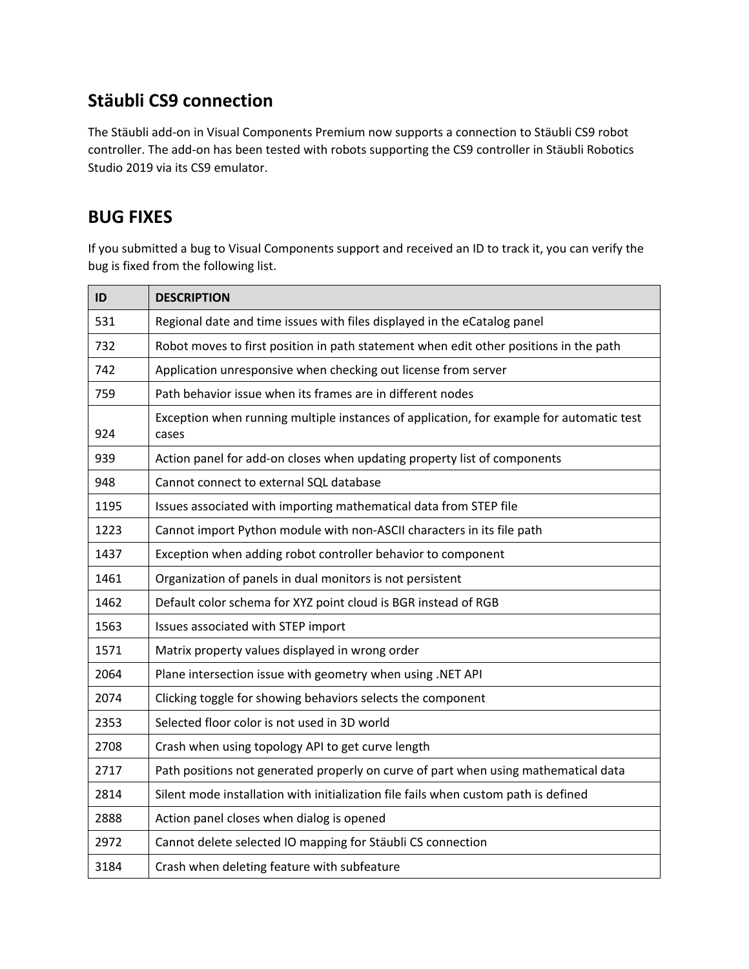# **Stäubli CS9 connection**

The Stäubli add-on in Visual Components Premium now supports a connection to Stäubli CS9 robot controller. The add-on has been tested with robots supporting the CS9 controller in Stäubli Robotics Studio 2019 via its CS9 emulator.

## **BUG FIXES**

If you submitted a bug to Visual Components support and received an ID to track it, you can verify the bug is fixed from the following list.

| ID   | <b>DESCRIPTION</b>                                                                                |
|------|---------------------------------------------------------------------------------------------------|
| 531  | Regional date and time issues with files displayed in the eCatalog panel                          |
| 732  | Robot moves to first position in path statement when edit other positions in the path             |
| 742  | Application unresponsive when checking out license from server                                    |
| 759  | Path behavior issue when its frames are in different nodes                                        |
| 924  | Exception when running multiple instances of application, for example for automatic test<br>cases |
| 939  | Action panel for add-on closes when updating property list of components                          |
| 948  | Cannot connect to external SQL database                                                           |
| 1195 | Issues associated with importing mathematical data from STEP file                                 |
| 1223 | Cannot import Python module with non-ASCII characters in its file path                            |
| 1437 | Exception when adding robot controller behavior to component                                      |
| 1461 | Organization of panels in dual monitors is not persistent                                         |
| 1462 | Default color schema for XYZ point cloud is BGR instead of RGB                                    |
| 1563 | Issues associated with STEP import                                                                |
| 1571 | Matrix property values displayed in wrong order                                                   |
| 2064 | Plane intersection issue with geometry when using .NET API                                        |
| 2074 | Clicking toggle for showing behaviors selects the component                                       |
| 2353 | Selected floor color is not used in 3D world                                                      |
| 2708 | Crash when using topology API to get curve length                                                 |
| 2717 | Path positions not generated properly on curve of part when using mathematical data               |
| 2814 | Silent mode installation with initialization file fails when custom path is defined               |
| 2888 | Action panel closes when dialog is opened                                                         |
| 2972 | Cannot delete selected IO mapping for Stäubli CS connection                                       |
| 3184 | Crash when deleting feature with subfeature                                                       |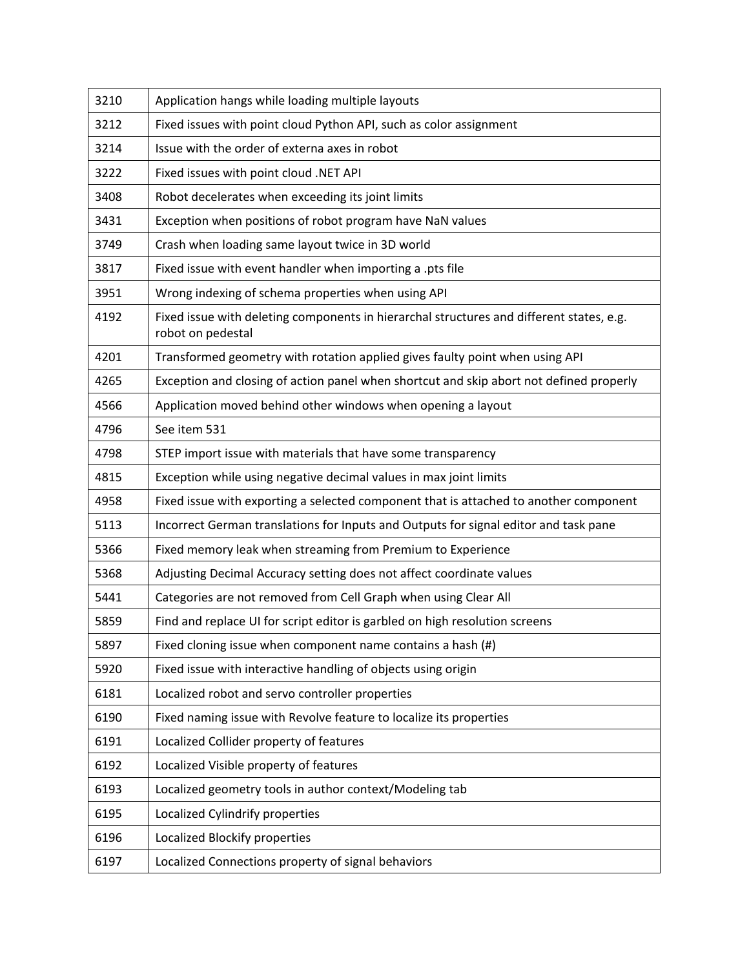| 3210 | Application hangs while loading multiple layouts                                                              |
|------|---------------------------------------------------------------------------------------------------------------|
| 3212 | Fixed issues with point cloud Python API, such as color assignment                                            |
| 3214 | Issue with the order of externa axes in robot                                                                 |
| 3222 | Fixed issues with point cloud .NET API                                                                        |
| 3408 | Robot decelerates when exceeding its joint limits                                                             |
| 3431 | Exception when positions of robot program have NaN values                                                     |
| 3749 | Crash when loading same layout twice in 3D world                                                              |
| 3817 | Fixed issue with event handler when importing a .pts file                                                     |
| 3951 | Wrong indexing of schema properties when using API                                                            |
| 4192 | Fixed issue with deleting components in hierarchal structures and different states, e.g.<br>robot on pedestal |
| 4201 | Transformed geometry with rotation applied gives faulty point when using API                                  |
| 4265 | Exception and closing of action panel when shortcut and skip abort not defined properly                       |
| 4566 | Application moved behind other windows when opening a layout                                                  |
| 4796 | See item 531                                                                                                  |
| 4798 | STEP import issue with materials that have some transparency                                                  |
| 4815 | Exception while using negative decimal values in max joint limits                                             |
| 4958 | Fixed issue with exporting a selected component that is attached to another component                         |
| 5113 | Incorrect German translations for Inputs and Outputs for signal editor and task pane                          |
| 5366 | Fixed memory leak when streaming from Premium to Experience                                                   |
| 5368 | Adjusting Decimal Accuracy setting does not affect coordinate values                                          |
| 5441 | Categories are not removed from Cell Graph when using Clear All                                               |
| 5859 | Find and replace UI for script editor is garbled on high resolution screens                                   |
| 5897 | Fixed cloning issue when component name contains a hash (#)                                                   |
| 5920 | Fixed issue with interactive handling of objects using origin                                                 |
| 6181 | Localized robot and servo controller properties                                                               |
| 6190 | Fixed naming issue with Revolve feature to localize its properties                                            |
| 6191 | Localized Collider property of features                                                                       |
| 6192 | Localized Visible property of features                                                                        |
| 6193 | Localized geometry tools in author context/Modeling tab                                                       |
| 6195 | Localized Cylindrify properties                                                                               |
| 6196 | Localized Blockify properties                                                                                 |
| 6197 | Localized Connections property of signal behaviors                                                            |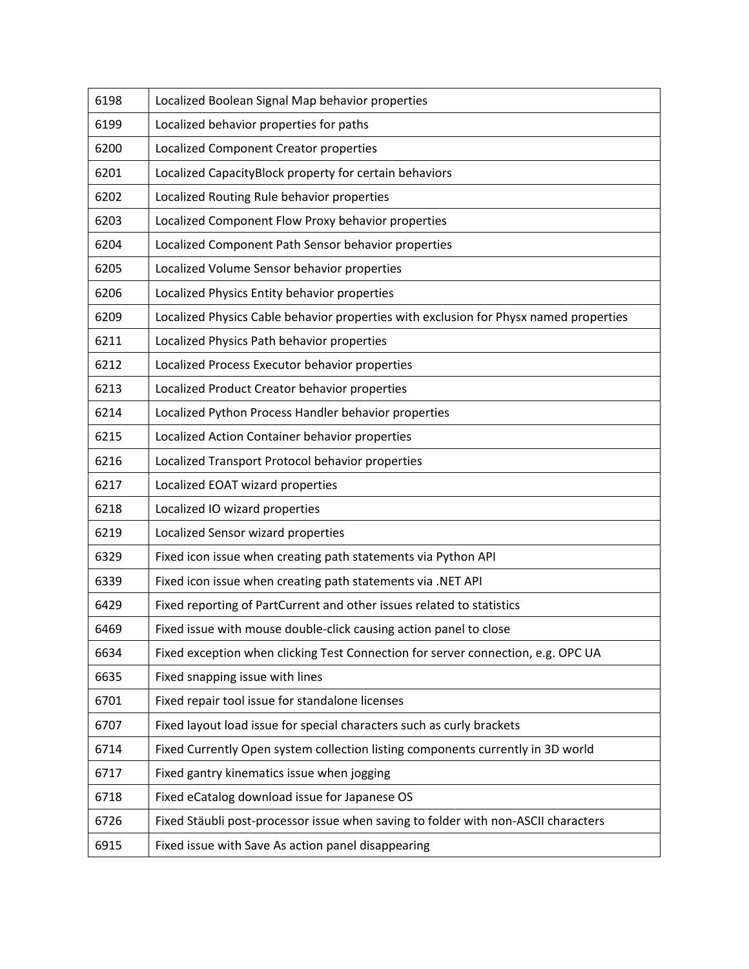| 6198 | Localized Boolean Signal Map behavior properties                                      |
|------|---------------------------------------------------------------------------------------|
| 6199 | Localized behavior properties for paths                                               |
| 6200 | Localized Component Creator properties                                                |
| 6201 | Localized CapacityBlock property for certain behaviors                                |
| 6202 | Localized Routing Rule behavior properties                                            |
| 6203 | Localized Component Flow Proxy behavior properties                                    |
| 6204 | Localized Component Path Sensor behavior properties                                   |
| 6205 | Localized Volume Sensor behavior properties                                           |
| 6206 | Localized Physics Entity behavior properties                                          |
| 6209 | Localized Physics Cable behavior properties with exclusion for Physx named properties |
| 6211 | Localized Physics Path behavior properties                                            |
| 6212 | Localized Process Executor behavior properties                                        |
| 6213 | Localized Product Creator behavior properties                                         |
| 6214 | Localized Python Process Handler behavior properties                                  |
| 6215 | Localized Action Container behavior properties                                        |
| 6216 | Localized Transport Protocol behavior properties                                      |
| 6217 | Localized EOAT wizard properties                                                      |
| 6218 | Localized IO wizard properties                                                        |
| 6219 | Localized Sensor wizard properties                                                    |
| 6329 | Fixed icon issue when creating path statements via Python API                         |
| 6339 | Fixed icon issue when creating path statements via .NET API                           |
| 6429 | Fixed reporting of PartCurrent and other issues related to statistics                 |
| 6469 | Fixed issue with mouse double-click causing action panel to close                     |
| 6634 | Fixed exception when clicking Test Connection for server connection, e.g. OPC UA      |
| 6635 | Fixed snapping issue with lines                                                       |
| 6701 |                                                                                       |
|      | Fixed repair tool issue for standalone licenses                                       |
| 6707 | Fixed layout load issue for special characters such as curly brackets                 |
| 6714 | Fixed Currently Open system collection listing components currently in 3D world       |
| 6717 | Fixed gantry kinematics issue when jogging                                            |
| 6718 | Fixed eCatalog download issue for Japanese OS                                         |
| 6726 | Fixed Stäubli post-processor issue when saving to folder with non-ASCII characters    |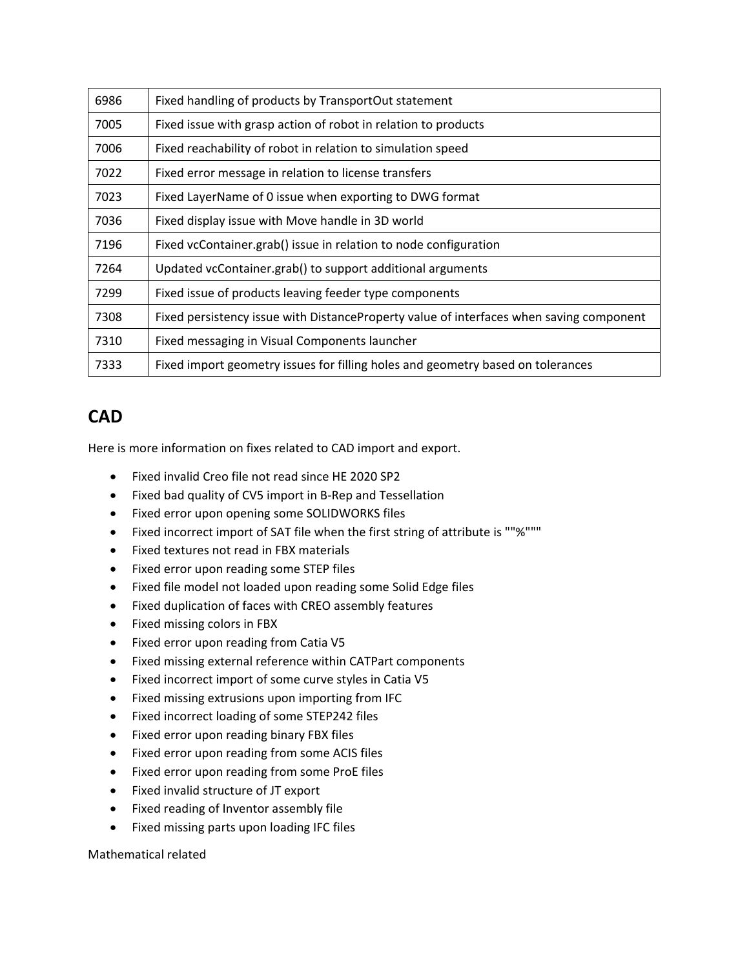| 6986 | Fixed handling of products by TransportOut statement                                    |
|------|-----------------------------------------------------------------------------------------|
| 7005 | Fixed issue with grasp action of robot in relation to products                          |
| 7006 | Fixed reachability of robot in relation to simulation speed                             |
| 7022 | Fixed error message in relation to license transfers                                    |
| 7023 | Fixed LayerName of 0 issue when exporting to DWG format                                 |
| 7036 | Fixed display issue with Move handle in 3D world                                        |
| 7196 | Fixed vcContainer.grab() issue in relation to node configuration                        |
| 7264 | Updated vcContainer.grab() to support additional arguments                              |
| 7299 | Fixed issue of products leaving feeder type components                                  |
| 7308 | Fixed persistency issue with DistanceProperty value of interfaces when saving component |
| 7310 | Fixed messaging in Visual Components launcher                                           |
| 7333 | Fixed import geometry issues for filling holes and geometry based on tolerances         |

### **CAD**

Here is more information on fixes related to CAD import and export.

- Fixed invalid Creo file not read since HE 2020 SP2
- Fixed bad quality of CV5 import in B-Rep and Tessellation
- Fixed error upon opening some SOLIDWORKS files
- Fixed incorrect import of SAT file when the first string of attribute is ""%"""
- Fixed textures not read in FBX materials
- Fixed error upon reading some STEP files
- Fixed file model not loaded upon reading some Solid Edge files
- Fixed duplication of faces with CREO assembly features
- Fixed missing colors in FBX
- Fixed error upon reading from Catia V5
- Fixed missing external reference within CATPart components
- Fixed incorrect import of some curve styles in Catia V5
- Fixed missing extrusions upon importing from IFC
- Fixed incorrect loading of some STEP242 files
- Fixed error upon reading binary FBX files
- Fixed error upon reading from some ACIS files
- Fixed error upon reading from some ProE files
- Fixed invalid structure of JT export
- Fixed reading of Inventor assembly file
- Fixed missing parts upon loading IFC files

Mathematical related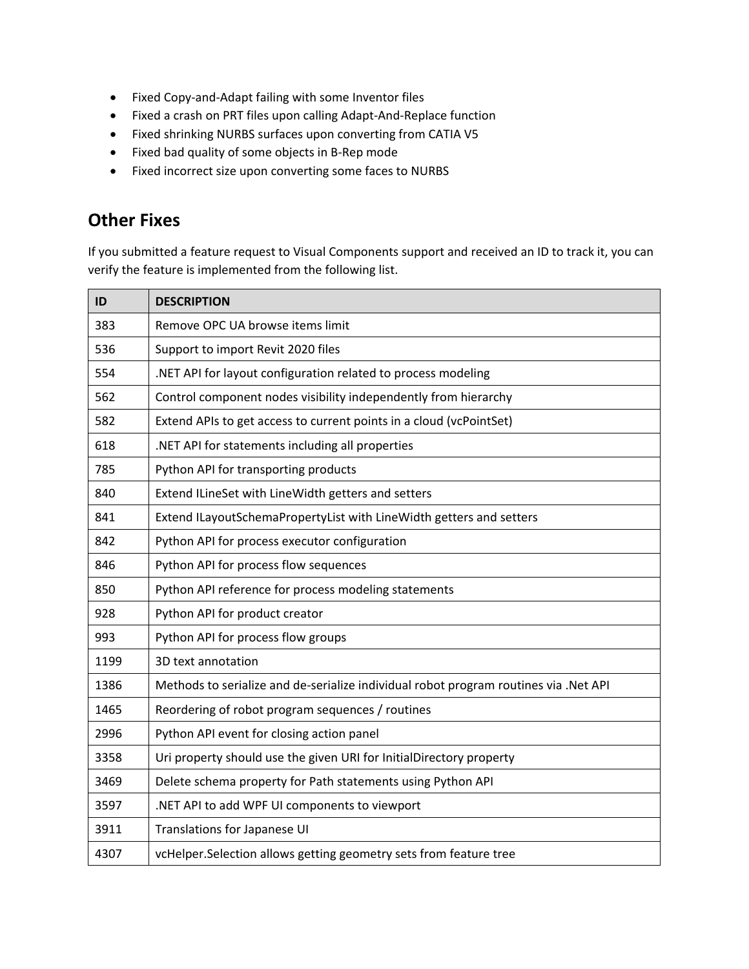- Fixed Copy-and-Adapt failing with some Inventor files
- Fixed a crash on PRT files upon calling Adapt-And-Replace function
- Fixed shrinking NURBS surfaces upon converting from CATIA V5
- Fixed bad quality of some objects in B-Rep mode
- Fixed incorrect size upon converting some faces to NURBS

## **Other Fixes**

If you submitted a feature request to Visual Components support and received an ID to track it, you can verify the feature is implemented from the following list.

| ID   | <b>DESCRIPTION</b>                                                                   |
|------|--------------------------------------------------------------------------------------|
| 383  | Remove OPC UA browse items limit                                                     |
| 536  | Support to import Revit 2020 files                                                   |
| 554  | .NET API for layout configuration related to process modeling                        |
| 562  | Control component nodes visibility independently from hierarchy                      |
| 582  | Extend APIs to get access to current points in a cloud (vcPointSet)                  |
| 618  | .NET API for statements including all properties                                     |
| 785  | Python API for transporting products                                                 |
| 840  | Extend ILineSet with LineWidth getters and setters                                   |
| 841  | Extend ILayoutSchemaPropertyList with LineWidth getters and setters                  |
| 842  | Python API for process executor configuration                                        |
| 846  | Python API for process flow sequences                                                |
| 850  | Python API reference for process modeling statements                                 |
| 928  | Python API for product creator                                                       |
| 993  | Python API for process flow groups                                                   |
| 1199 | 3D text annotation                                                                   |
| 1386 | Methods to serialize and de-serialize individual robot program routines via .Net API |
| 1465 | Reordering of robot program sequences / routines                                     |
| 2996 | Python API event for closing action panel                                            |
| 3358 | Uri property should use the given URI for InitialDirectory property                  |
| 3469 | Delete schema property for Path statements using Python API                          |
| 3597 | .NET API to add WPF UI components to viewport                                        |
| 3911 | Translations for Japanese UI                                                         |
| 4307 | vcHelper.Selection allows getting geometry sets from feature tree                    |